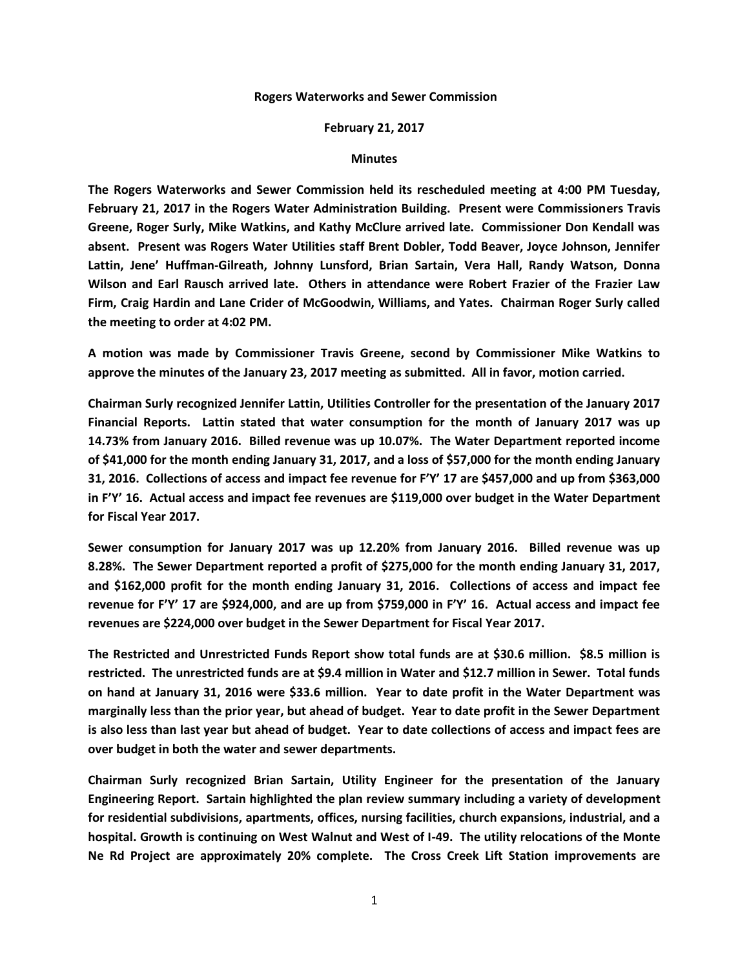## **Rogers Waterworks and Sewer Commission**

## **February 21, 2017**

## **Minutes**

**The Rogers Waterworks and Sewer Commission held its rescheduled meeting at 4:00 PM Tuesday, February 21, 2017 in the Rogers Water Administration Building. Present were Commissioners Travis Greene, Roger Surly, Mike Watkins, and Kathy McClure arrived late. Commissioner Don Kendall was absent. Present was Rogers Water Utilities staff Brent Dobler, Todd Beaver, Joyce Johnson, Jennifer Lattin, Jene' Huffman-Gilreath, Johnny Lunsford, Brian Sartain, Vera Hall, Randy Watson, Donna Wilson and Earl Rausch arrived late. Others in attendance were Robert Frazier of the Frazier Law Firm, Craig Hardin and Lane Crider of McGoodwin, Williams, and Yates. Chairman Roger Surly called the meeting to order at 4:02 PM.**

**A motion was made by Commissioner Travis Greene, second by Commissioner Mike Watkins to approve the minutes of the January 23, 2017 meeting as submitted. All in favor, motion carried.**

**Chairman Surly recognized Jennifer Lattin, Utilities Controller for the presentation of the January 2017 Financial Reports. Lattin stated that water consumption for the month of January 2017 was up 14.73% from January 2016. Billed revenue was up 10.07%. The Water Department reported income of \$41,000 for the month ending January 31, 2017, and a loss of \$57,000 for the month ending January 31, 2016. Collections of access and impact fee revenue for F'Y' 17 are \$457,000 and up from \$363,000 in F'Y' 16. Actual access and impact fee revenues are \$119,000 over budget in the Water Department for Fiscal Year 2017.**

**Sewer consumption for January 2017 was up 12.20% from January 2016. Billed revenue was up 8.28%. The Sewer Department reported a profit of \$275,000 for the month ending January 31, 2017, and \$162,000 profit for the month ending January 31, 2016. Collections of access and impact fee revenue for F'Y' 17 are \$924,000, and are up from \$759,000 in F'Y' 16. Actual access and impact fee revenues are \$224,000 over budget in the Sewer Department for Fiscal Year 2017.**

**The Restricted and Unrestricted Funds Report show total funds are at \$30.6 million. \$8.5 million is restricted. The unrestricted funds are at \$9.4 million in Water and \$12.7 million in Sewer. Total funds on hand at January 31, 2016 were \$33.6 million. Year to date profit in the Water Department was marginally less than the prior year, but ahead of budget. Year to date profit in the Sewer Department is also less than last year but ahead of budget. Year to date collections of access and impact fees are over budget in both the water and sewer departments.**

**Chairman Surly recognized Brian Sartain, Utility Engineer for the presentation of the January Engineering Report. Sartain highlighted the plan review summary including a variety of development for residential subdivisions, apartments, offices, nursing facilities, church expansions, industrial, and a hospital. Growth is continuing on West Walnut and West of I-49. The utility relocations of the Monte Ne Rd Project are approximately 20% complete. The Cross Creek Lift Station improvements are**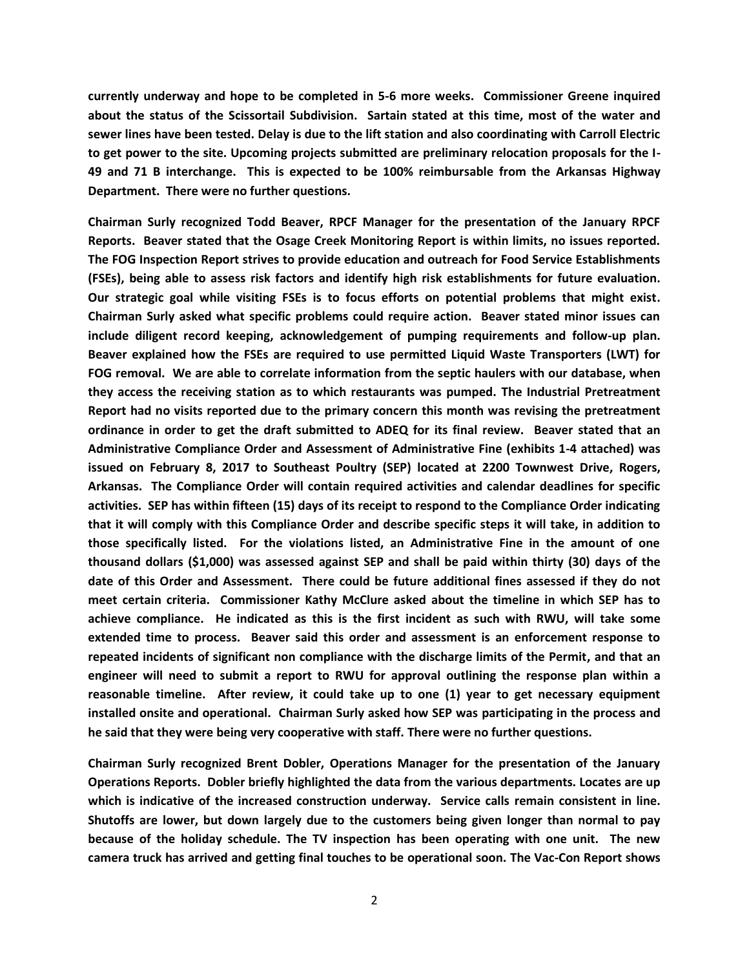**currently underway and hope to be completed in 5-6 more weeks. Commissioner Greene inquired about the status of the Scissortail Subdivision. Sartain stated at this time, most of the water and sewer lines have been tested. Delay is due to the lift station and also coordinating with Carroll Electric to get power to the site. Upcoming projects submitted are preliminary relocation proposals for the I-49 and 71 B interchange. This is expected to be 100% reimbursable from the Arkansas Highway Department. There were no further questions.**

**Chairman Surly recognized Todd Beaver, RPCF Manager for the presentation of the January RPCF Reports. Beaver stated that the Osage Creek Monitoring Report is within limits, no issues reported. The FOG Inspection Report strives to provide education and outreach for Food Service Establishments (FSEs), being able to assess risk factors and identify high risk establishments for future evaluation. Our strategic goal while visiting FSEs is to focus efforts on potential problems that might exist. Chairman Surly asked what specific problems could require action. Beaver stated minor issues can include diligent record keeping, acknowledgement of pumping requirements and follow-up plan. Beaver explained how the FSEs are required to use permitted Liquid Waste Transporters (LWT) for FOG removal. We are able to correlate information from the septic haulers with our database, when they access the receiving station as to which restaurants was pumped. The Industrial Pretreatment Report had no visits reported due to the primary concern this month was revising the pretreatment ordinance in order to get the draft submitted to ADEQ for its final review. Beaver stated that an Administrative Compliance Order and Assessment of Administrative Fine (exhibits 1-4 attached) was issued on February 8, 2017 to Southeast Poultry (SEP) located at 2200 Townwest Drive, Rogers, Arkansas. The Compliance Order will contain required activities and calendar deadlines for specific activities. SEP has within fifteen (15) days of its receipt to respond to the Compliance Order indicating that it will comply with this Compliance Order and describe specific steps it will take, in addition to those specifically listed. For the violations listed, an Administrative Fine in the amount of one thousand dollars (\$1,000) was assessed against SEP and shall be paid within thirty (30) days of the date of this Order and Assessment. There could be future additional fines assessed if they do not meet certain criteria. Commissioner Kathy McClure asked about the timeline in which SEP has to achieve compliance. He indicated as this is the first incident as such with RWU, will take some extended time to process. Beaver said this order and assessment is an enforcement response to repeated incidents of significant non compliance with the discharge limits of the Permit, and that an engineer will need to submit a report to RWU for approval outlining the response plan within a reasonable timeline. After review, it could take up to one (1) year to get necessary equipment installed onsite and operational. Chairman Surly asked how SEP was participating in the process and he said that they were being very cooperative with staff. There were no further questions.**

**Chairman Surly recognized Brent Dobler, Operations Manager for the presentation of the January Operations Reports. Dobler briefly highlighted the data from the various departments. Locates are up which is indicative of the increased construction underway. Service calls remain consistent in line. Shutoffs are lower, but down largely due to the customers being given longer than normal to pay because of the holiday schedule. The TV inspection has been operating with one unit. The new camera truck has arrived and getting final touches to be operational soon. The Vac-Con Report shows**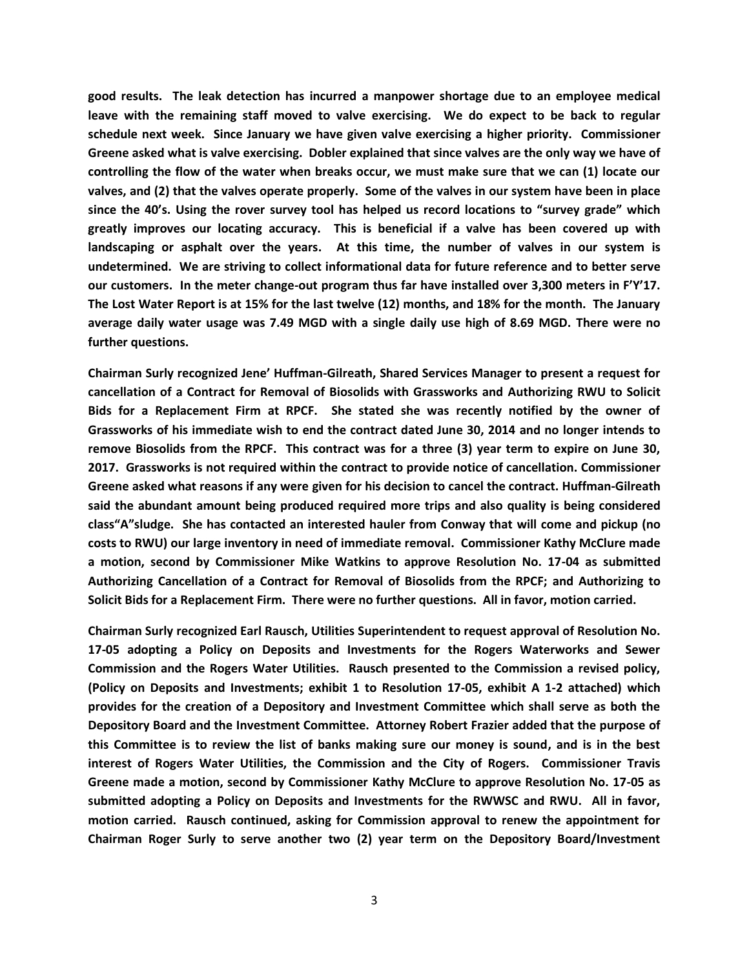**good results. The leak detection has incurred a manpower shortage due to an employee medical leave with the remaining staff moved to valve exercising. We do expect to be back to regular schedule next week. Since January we have given valve exercising a higher priority. Commissioner Greene asked what is valve exercising. Dobler explained that since valves are the only way we have of controlling the flow of the water when breaks occur, we must make sure that we can (1) locate our valves, and (2) that the valves operate properly. Some of the valves in our system have been in place since the 40's. Using the rover survey tool has helped us record locations to "survey grade" which greatly improves our locating accuracy. This is beneficial if a valve has been covered up with landscaping or asphalt over the years. At this time, the number of valves in our system is undetermined. We are striving to collect informational data for future reference and to better serve our customers. In the meter change-out program thus far have installed over 3,300 meters in F'Y'17. The Lost Water Report is at 15% for the last twelve (12) months, and 18% for the month. The January average daily water usage was 7.49 MGD with a single daily use high of 8.69 MGD. There were no further questions.**

**Chairman Surly recognized Jene' Huffman-Gilreath, Shared Services Manager to present a request for cancellation of a Contract for Removal of Biosolids with Grassworks and Authorizing RWU to Solicit Bids for a Replacement Firm at RPCF. She stated she was recently notified by the owner of Grassworks of his immediate wish to end the contract dated June 30, 2014 and no longer intends to remove Biosolids from the RPCF. This contract was for a three (3) year term to expire on June 30, 2017. Grassworks is not required within the contract to provide notice of cancellation. Commissioner Greene asked what reasons if any were given for his decision to cancel the contract. Huffman-Gilreath said the abundant amount being produced required more trips and also quality is being considered class"A"sludge. She has contacted an interested hauler from Conway that will come and pickup (no costs to RWU) our large inventory in need of immediate removal. Commissioner Kathy McClure made a motion, second by Commissioner Mike Watkins to approve Resolution No. 17-04 as submitted Authorizing Cancellation of a Contract for Removal of Biosolids from the RPCF; and Authorizing to Solicit Bids for a Replacement Firm. There were no further questions. All in favor, motion carried.**

**Chairman Surly recognized Earl Rausch, Utilities Superintendent to request approval of Resolution No. 17-05 adopting a Policy on Deposits and Investments for the Rogers Waterworks and Sewer Commission and the Rogers Water Utilities. Rausch presented to the Commission a revised policy, (Policy on Deposits and Investments; exhibit 1 to Resolution 17-05, exhibit A 1-2 attached) which provides for the creation of a Depository and Investment Committee which shall serve as both the Depository Board and the Investment Committee. Attorney Robert Frazier added that the purpose of this Committee is to review the list of banks making sure our money is sound, and is in the best interest of Rogers Water Utilities, the Commission and the City of Rogers. Commissioner Travis Greene made a motion, second by Commissioner Kathy McClure to approve Resolution No. 17-05 as submitted adopting a Policy on Deposits and Investments for the RWWSC and RWU. All in favor, motion carried. Rausch continued, asking for Commission approval to renew the appointment for Chairman Roger Surly to serve another two (2) year term on the Depository Board/Investment**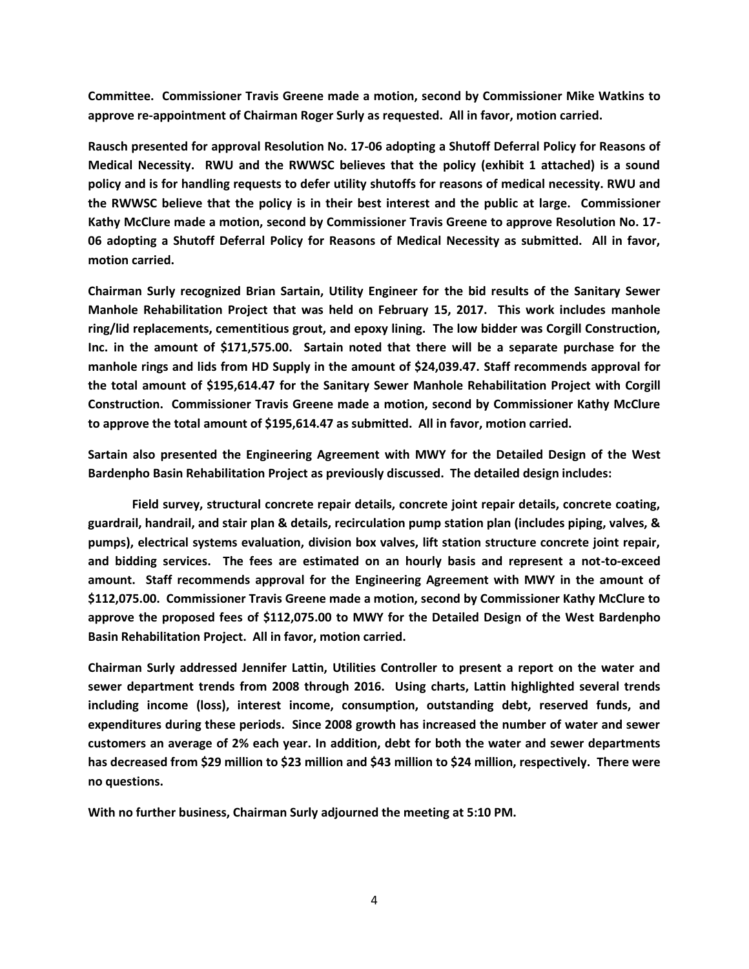**Committee. Commissioner Travis Greene made a motion, second by Commissioner Mike Watkins to approve re-appointment of Chairman Roger Surly as requested. All in favor, motion carried.**

**Rausch presented for approval Resolution No. 17-06 adopting a Shutoff Deferral Policy for Reasons of Medical Necessity. RWU and the RWWSC believes that the policy (exhibit 1 attached) is a sound policy and is for handling requests to defer utility shutoffs for reasons of medical necessity. RWU and the RWWSC believe that the policy is in their best interest and the public at large. Commissioner Kathy McClure made a motion, second by Commissioner Travis Greene to approve Resolution No. 17- 06 adopting a Shutoff Deferral Policy for Reasons of Medical Necessity as submitted. All in favor, motion carried.**

**Chairman Surly recognized Brian Sartain, Utility Engineer for the bid results of the Sanitary Sewer Manhole Rehabilitation Project that was held on February 15, 2017. This work includes manhole ring/lid replacements, cementitious grout, and epoxy lining. The low bidder was Corgill Construction, Inc. in the amount of \$171,575.00. Sartain noted that there will be a separate purchase for the manhole rings and lids from HD Supply in the amount of \$24,039.47. Staff recommends approval for the total amount of \$195,614.47 for the Sanitary Sewer Manhole Rehabilitation Project with Corgill Construction. Commissioner Travis Greene made a motion, second by Commissioner Kathy McClure to approve the total amount of \$195,614.47 as submitted. All in favor, motion carried.**

**Sartain also presented the Engineering Agreement with MWY for the Detailed Design of the West Bardenpho Basin Rehabilitation Project as previously discussed. The detailed design includes:**

**Field survey, structural concrete repair details, concrete joint repair details, concrete coating, guardrail, handrail, and stair plan & details, recirculation pump station plan (includes piping, valves, & pumps), electrical systems evaluation, division box valves, lift station structure concrete joint repair, and bidding services. The fees are estimated on an hourly basis and represent a not-to-exceed amount. Staff recommends approval for the Engineering Agreement with MWY in the amount of \$112,075.00. Commissioner Travis Greene made a motion, second by Commissioner Kathy McClure to approve the proposed fees of \$112,075.00 to MWY for the Detailed Design of the West Bardenpho Basin Rehabilitation Project. All in favor, motion carried.**

**Chairman Surly addressed Jennifer Lattin, Utilities Controller to present a report on the water and sewer department trends from 2008 through 2016. Using charts, Lattin highlighted several trends including income (loss), interest income, consumption, outstanding debt, reserved funds, and expenditures during these periods. Since 2008 growth has increased the number of water and sewer customers an average of 2% each year. In addition, debt for both the water and sewer departments has decreased from \$29 million to \$23 million and \$43 million to \$24 million, respectively. There were no questions.**

**With no further business, Chairman Surly adjourned the meeting at 5:10 PM.**